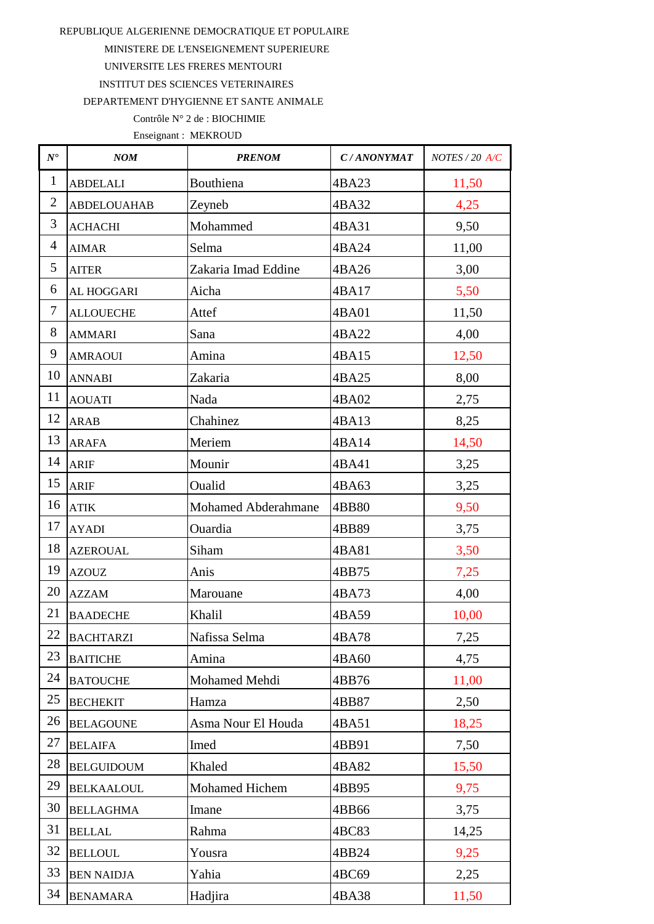MINISTERE DE L'ENSEIGNEMENT SUPERIEURE

UNIVERSITE LES FRERES MENTOURI

INSTITUT DES SCIENCES VETERINAIRES

DEPARTEMENT D'HYGIENNE ET SANTE ANIMALE

### Contrôle N° 2 de : BIOCHIMIE

| $N^{\bullet}$  | NOM                | <b>PRENOM</b>       | C/ANONYMAT | NOTES / 20 A/C |
|----------------|--------------------|---------------------|------------|----------------|
| $\mathbf{1}$   | <b>ABDELALI</b>    | Bouthiena           | 4BA23      | 11,50          |
| $\overline{2}$ | <b>ABDELOUAHAB</b> | Zeyneb              | 4BA32      | 4,25           |
| 3              | <b>ACHACHI</b>     | Mohammed            | 4BA31      | 9,50           |
| $\overline{4}$ | <b>AIMAR</b>       | Selma               | 4BA24      | 11,00          |
| 5              | <b>AITER</b>       | Zakaria Imad Eddine | 4BA26      | 3,00           |
| 6              | AL HOGGARI         | Aicha               | 4BA17      | 5,50           |
| 7              | <b>ALLOUECHE</b>   | Attef               | 4BA01      | 11,50          |
| 8              | <b>AMMARI</b>      | Sana                | 4BA22      | 4,00           |
| 9              | <b>AMRAOUI</b>     | Amina               | 4BA15      | 12,50          |
| 10             | <b>ANNABI</b>      | Zakaria             | 4BA25      | 8,00           |
| 11             | <b>AOUATI</b>      | Nada                | 4BA02      | 2,75           |
| 12             | <b>ARAB</b>        | Chahinez            | 4BA13      | 8,25           |
| 13             | <b>ARAFA</b>       | Meriem              | 4BA14      | 14,50          |
| 14             | <b>ARIF</b>        | Mounir              | 4BA41      | 3,25           |
| 15             | <b>ARIF</b>        | Oualid              | 4BA63      | 3,25           |
| 16             | <b>ATIK</b>        | Mohamed Abderahmane | 4BB80      | 9,50           |
| 17             | <b>AYADI</b>       | Ouardia             | 4BB89      | 3,75           |
| 18             | <b>AZEROUAL</b>    | Siham               | 4BA81      | 3,50           |
| 19             | <b>AZOUZ</b>       | Anis                | 4BB75      | 7,25           |
| 20             | <b>AZZAM</b>       | Marouane            | 4BA73      | 4,00           |
| 21             | <b>BAADECHE</b>    | Khalil              | 4BA59      | 10,00          |
| 22             | <b>BACHTARZI</b>   | Nafissa Selma       | 4BA78      | 7,25           |
| 23             | <b>BAITICHE</b>    | Amina               | 4BA60      | 4,75           |
| 24             | <b>BATOUCHE</b>    | Mohamed Mehdi       | 4BB76      | 11,00          |
| 25             | <b>BECHEKIT</b>    | Hamza               | 4BB87      | 2,50           |
| 26             | <b>BELAGOUNE</b>   | Asma Nour El Houda  | 4BA51      | 18,25          |
| 27             | <b>BELAIFA</b>     | Imed                | 4BB91      | 7,50           |
| 28             | <b>BELGUIDOUM</b>  | Khaled              | 4BA82      | 15,50          |
| 29             | <b>BELKAALOUL</b>  | Mohamed Hichem      | 4BB95      | 9,75           |
| 30             | <b>BELLAGHMA</b>   | Imane               | 4BB66      | 3,75           |
| 31             | <b>BELLAL</b>      | Rahma               | 4BC83      | 14,25          |
| 32             | <b>BELLOUL</b>     | Yousra              | 4BB24      | 9,25           |
| 33             | <b>BEN NAIDJA</b>  | Yahia               | 4BC69      | 2,25           |
| 34             | <b>BENAMARA</b>    | Hadjira             | 4BA38      | 11,50          |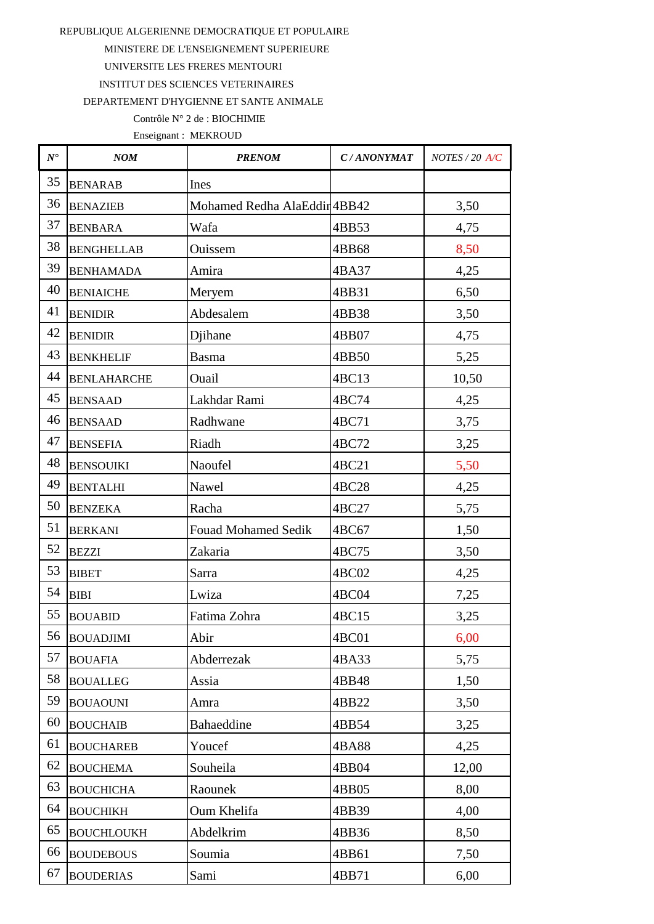MINISTERE DE L'ENSEIGNEMENT SUPERIEURE

UNIVERSITE LES FRERES MENTOURI

**INSTITUT DES SCIENCES VETERINAIRES** 

DEPARTEMENT D'HYGIENNE ET SANTE ANIMALE

### Contrôle N° 2 de : BIOCHIMIE

| $N^{\bullet}$ | NOM                | <b>PRENOM</b>                | C/ANONYMAT | $NOTES / 20$ $A/C$ |
|---------------|--------------------|------------------------------|------------|--------------------|
| 35            | <b>BENARAB</b>     | Ines                         |            |                    |
| 36            | <b>BENAZIEB</b>    | Mohamed Redha AlaEddir 4BB42 |            | 3,50               |
| 37            | <b>BENBARA</b>     | Wafa                         | 4BB53      | 4,75               |
| 38            | <b>BENGHELLAB</b>  | Ouissem                      | 4BB68      | 8,50               |
| 39            | <b>BENHAMADA</b>   | Amira                        | 4BA37      | 4,25               |
| 40            | <b>BENIAICHE</b>   | Meryem                       | 4BB31      | 6,50               |
| 41            | <b>BENIDIR</b>     | Abdesalem                    | 4BB38      | 3,50               |
| 42            | <b>BENIDIR</b>     | Djihane                      | 4BB07      | 4,75               |
| 43            | <b>BENKHELIF</b>   | <b>Basma</b>                 | 4BB50      | 5,25               |
| 44            | <b>BENLAHARCHE</b> | Ouail                        | 4BC13      | 10,50              |
| 45            | <b>BENSAAD</b>     | Lakhdar Rami                 | 4BC74      | 4,25               |
| 46            | <b>BENSAAD</b>     | Radhwane                     | 4BC71      | 3,75               |
| 47            | <b>BENSEFIA</b>    | Riadh                        | 4BC72      | 3,25               |
| 48            | <b>BENSOUIKI</b>   | Naoufel                      | 4BC21      | 5,50               |
| 49            | <b>BENTALHI</b>    | Nawel                        | 4BC28      | 4,25               |
| 50            | <b>BENZEKA</b>     | Racha                        | 4BC27      | 5,75               |
| 51            | <b>BERKANI</b>     | <b>Fouad Mohamed Sedik</b>   | 4BC67      | 1,50               |
| 52            | <b>BEZZI</b>       | Zakaria                      | 4BC75      | 3,50               |
| 53            | <b>BIBET</b>       | Sarra                        | 4BC02      | 4,25               |
| 54            | <b>BIBI</b>        | Lwiza                        | 4BC04      | 7,25               |
| 55            | <b>BOUABID</b>     | Fatima Zohra                 | 4BC15      | 3,25               |
|               | 56 BOUADJIMI       | Abir                         | 4BC01      | 6,00               |
| 57            | <b>BOUAFIA</b>     | Abderrezak                   | 4BA33      | 5,75               |
| 58            | <b>BOUALLEG</b>    | Assia                        | 4BB48      | 1,50               |
| 59            | <b>BOUAOUNI</b>    | Amra                         | 4BB22      | 3,50               |
| 60            | <b>BOUCHAIB</b>    | Bahaeddine                   | 4BB54      | 3,25               |
| 61            | <b>BOUCHAREB</b>   | Youcef                       | 4BA88      | 4,25               |
| 62            | <b>BOUCHEMA</b>    | Souheila                     | 4BB04      | 12,00              |
| 63            | <b>BOUCHICHA</b>   | Raounek                      | 4BB05      | 8,00               |
| 64            | <b>BOUCHIKH</b>    | Oum Khelifa                  | 4BB39      | 4,00               |
| 65            | <b>BOUCHLOUKH</b>  | Abdelkrim                    | 4BB36      | 8,50               |
| 66            | <b>BOUDEBOUS</b>   | Soumia                       | 4BB61      | 7,50               |
| 67            | <b>BOUDERIAS</b>   | Sami                         | 4BB71      | 6,00               |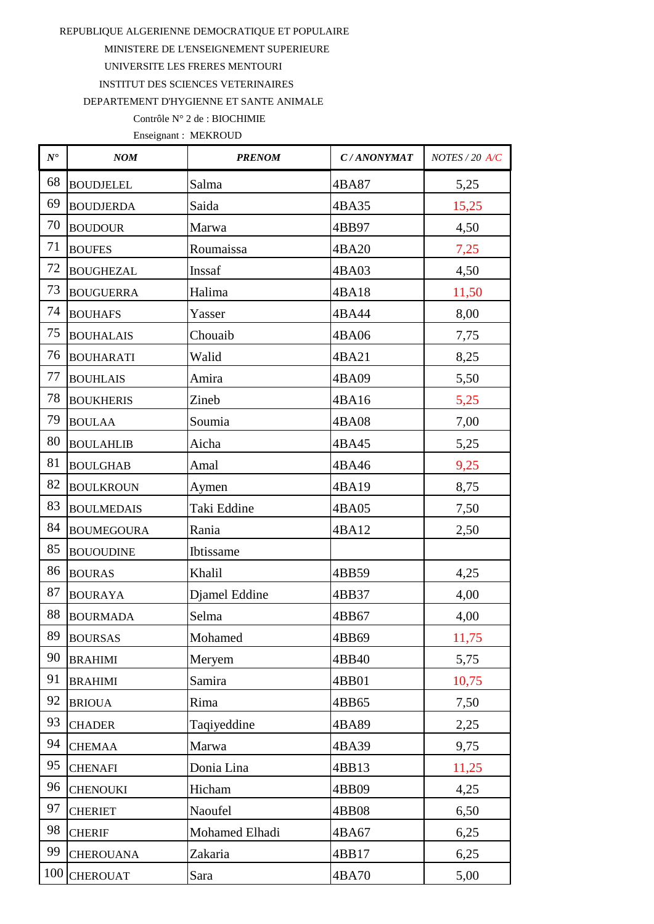MINISTERE DE L'ENSEIGNEMENT SUPERIEURE

UNIVERSITE LES FRERES MENTOURI

INSTITUT DES SCIENCES VETERINAIRES

DEPARTEMENT D'HYGIENNE ET SANTE ANIMALE

## Contrôle N° 2 de : BIOCHIMIE

| $N^{\bullet}$ | NOM               | <b>PRENOM</b>  | C/ANONYMAT | NOTES / 20 A/C |
|---------------|-------------------|----------------|------------|----------------|
| 68            | <b>BOUDJELEL</b>  | Salma          | 4BA87      | 5,25           |
| 69            | <b>BOUDJERDA</b>  | Saida          | 4BA35      | 15,25          |
| 70            | <b>BOUDOUR</b>    | Marwa          | 4BB97      | 4,50           |
| 71            | <b>BOUFES</b>     | Roumaissa      | 4BA20      | 7,25           |
| 72            | <b>BOUGHEZAL</b>  | Inssaf         | 4BA03      | 4,50           |
| 73            | <b>BOUGUERRA</b>  | Halima         | 4BA18      | 11,50          |
| 74            | <b>BOUHAFS</b>    | Yasser         | 4BA44      | 8,00           |
| 75            | <b>BOUHALAIS</b>  | Chouaib        | 4BA06      | 7,75           |
| 76            | <b>BOUHARATI</b>  | Walid          | 4BA21      | 8,25           |
| 77            | <b>BOUHLAIS</b>   | Amira          | 4BA09      | 5,50           |
| 78            | <b>BOUKHERIS</b>  | Zineb          | 4BA16      | 5,25           |
| 79            | <b>BOULAA</b>     | Soumia         | 4BA08      | 7,00           |
| 80            | <b>BOULAHLIB</b>  | Aicha          | 4BA45      | 5,25           |
| 81            | <b>BOULGHAB</b>   | Amal           | 4BA46      | 9,25           |
| 82            | <b>BOULKROUN</b>  | Aymen          | 4BA19      | 8,75           |
| 83            | <b>BOULMEDAIS</b> | Taki Eddine    | 4BA05      | 7,50           |
| 84            | <b>BOUMEGOURA</b> | Rania          | 4BA12      | 2,50           |
| 85            | <b>BOUOUDINE</b>  | Ibtissame      |            |                |
| 86            | <b>BOURAS</b>     | Khalil         | 4BB59      | 4,25           |
| 87            | <b>BOURAYA</b>    | Djamel Eddine  | 4BB37      | 4,00           |
| 88            | <b>BOURMADA</b>   | Selma          | 4BB67      | 4,00           |
| 89            | <b>BOURSAS</b>    | Mohamed        | 4BB69      | 11,75          |
| 90            | <b>BRAHIMI</b>    | Meryem         | 4BB40      | 5,75           |
| 91            | <b>BRAHIMI</b>    | Samira         | 4BB01      | 10,75          |
| 92            | <b>BRIOUA</b>     | Rima           | 4BB65      | 7,50           |
| 93            | <b>CHADER</b>     | Taqiyeddine    | 4BA89      | 2,25           |
| 94            | <b>CHEMAA</b>     | Marwa          | 4BA39      | 9,75           |
| 95            | <b>CHENAFI</b>    | Donia Lina     | 4BB13      | 11,25          |
| 96            | <b>CHENOUKI</b>   | Hicham         | 4BB09      | 4,25           |
| 97            | <b>CHERIET</b>    | Naoufel        | 4BB08      | 6,50           |
| 98            | <b>CHERIF</b>     | Mohamed Elhadi | 4BA67      | 6,25           |
| 99            | <b>CHEROUANA</b>  | Zakaria        | 4BB17      | 6,25           |
| 100           | <b>CHEROUAT</b>   | Sara           | 4BA70      | 5,00           |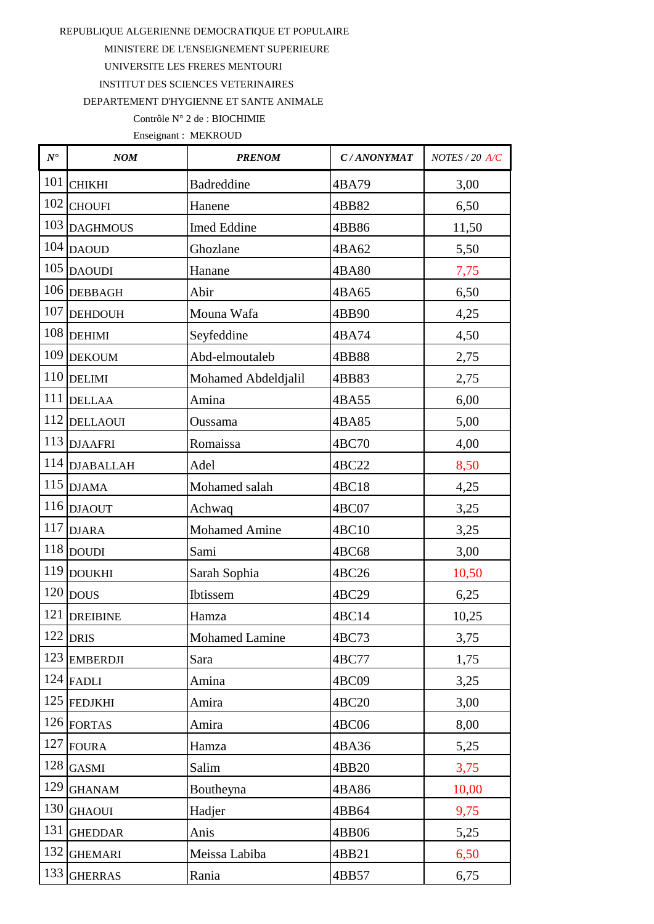MINISTERE DE L'ENSEIGNEMENT SUPERIEURE

UNIVERSITE LES FRERES MENTOURI

INSTITUT DES SCIENCES VETERINAIRES

DEPARTEMENT D'HYGIENNE ET SANTE ANIMALE

# Contrôle N° 2 de : BIOCHIMIE

| $N^\bullet$ | NOM                  | <b>PRENOM</b>         | C/ANONYMAT | NOTES / 20 A/C |
|-------------|----------------------|-----------------------|------------|----------------|
| 101         | <b>CHIKHI</b>        | <b>Badreddine</b>     | 4BA79      | 3,00           |
| 102         | <b>CHOUFI</b>        | Hanene                | 4BB82      | 6,50           |
| 103         | <b>DAGHMOUS</b>      | Imed Eddine           | 4BB86      | 11,50          |
| 104         | <b>DAOUD</b>         | Ghozlane              | 4BA62      | 5,50           |
| 105         | <b>DAOUDI</b>        | Hanane                | 4BA80      | 7,75           |
| 106         | <b>DEBBAGH</b>       | Abir                  | 4BA65      | 6,50           |
| 107         | <b>DEHDOUH</b>       | Mouna Wafa            | 4BB90      | 4,25           |
|             | $108$ DEHIMI         | Seyfeddine            | 4BA74      | 4,50           |
| 109         | <b>DEKOUM</b>        | Abd-elmoutaleb        | 4BB88      | 2,75           |
| 110         | <b>DELIMI</b>        | Mohamed Abdeldjalil   | 4BB83      | 2,75           |
| 111         | <b>DELLAA</b>        | Amina                 | 4BA55      | 6,00           |
| 112         | <b>DELLAOUI</b>      | Oussama               | 4BA85      | 5,00           |
|             | 113 DJAAFRI          | Romaissa              | 4BC70      | 4,00           |
|             | 114 DJABALLAH        | Adel                  | 4BC22      | 8,50           |
| 115         | <b>DJAMA</b>         | Mohamed salah         | 4BC18      | 4,25           |
| 116         | <b>DJAOUT</b>        | Achwaq                | 4BC07      | 3,25           |
| 117         | <b>DJARA</b>         | <b>Mohamed Amine</b>  | 4BC10      | 3,25           |
|             | $118$ DOUDI          | Sami                  | 4BC68      | 3,00           |
| 119         | <b>DOUKHI</b>        | Sarah Sophia          | 4BC26      | 10,50          |
|             | $120$ $ {\rm{DOUS}}$ | Ibtissem              | 4BC29      | 6,25           |
| 121         | <b>DREIBINE</b>      | Hamza                 | 4BC14      | 10,25          |
|             | $122$ DRIS           | <b>Mohamed Lamine</b> | 4BC73      | 3,75           |
| 123         | <b>EMBERDJI</b>      | Sara                  | 4BC77      | 1,75           |
|             | $124$ FADLI          | Amina                 | 4BC09      | 3,25           |
|             | 125 FEDJKHI          | Amira                 | 4BC20      | 3,00           |
|             | $126$ FORTAS         | Amira                 | 4BC06      | 8,00           |
| 127         | <b>FOURA</b>         | Hamza                 | 4BA36      | 5,25           |
| 128         | <b>GASMI</b>         | Salim                 | 4BB20      | 3,75           |
| 129         | <b>GHANAM</b>        | Boutheyna             | 4BA86      | 10,00          |
| 130         | <b>GHAOUI</b>        | Hadjer                | 4BB64      | 9,75           |
| 131         | <b>GHEDDAR</b>       | Anis                  | 4BB06      | 5,25           |
| 132         | <b>GHEMARI</b>       | Meissa Labiba         | 4BB21      | 6,50           |
| 133         | <b>GHERRAS</b>       | Rania                 | 4BB57      | 6,75           |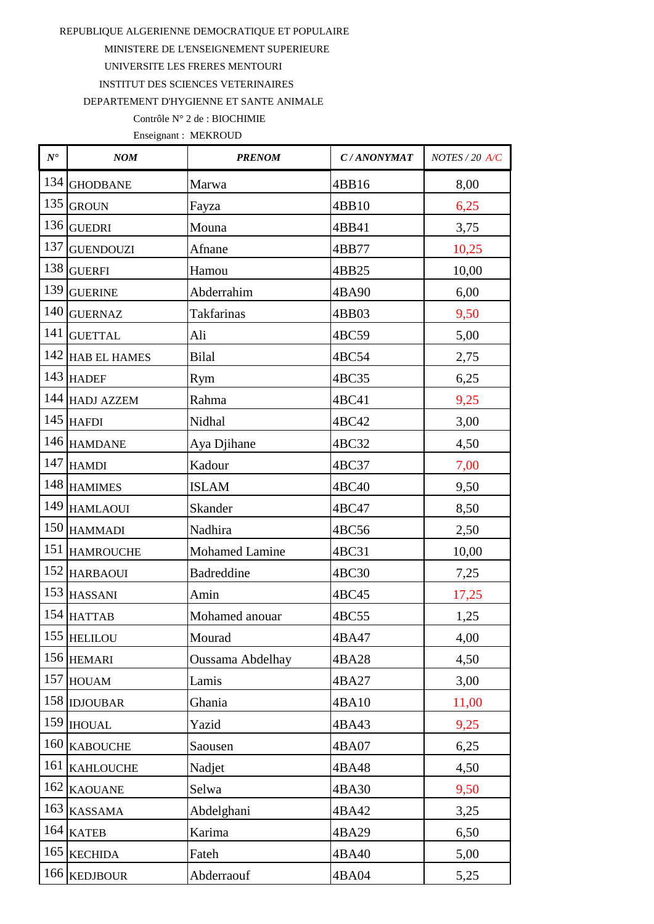MINISTERE DE L'ENSEIGNEMENT SUPERIEURE

UNIVERSITE LES FRERES MENTOURI

INSTITUT DES SCIENCES VETERINAIRES

DEPARTEMENT D'HYGIENNE ET SANTE ANIMALE

## Contrôle N° 2 de : BIOCHIMIE

| $N^\bullet$ | NOM                 | <b>PRENOM</b>           | C/ANONYMAT | NOTES / 20 A/C |
|-------------|---------------------|-------------------------|------------|----------------|
| 134         | <b>GHODBANE</b>     | Marwa                   | 4BB16      | 8,00           |
| 135         | <b>GROUN</b>        | Fayza                   | 4BB10      | 6,25           |
| 136         | <b>GUEDRI</b>       | Mouna                   | 4BB41      | 3,75           |
| 137         | <b>GUENDOUZI</b>    | Afnane                  | 4BB77      | 10,25          |
| 138         | <b>GUERFI</b>       | Hamou                   | 4BB25      | 10,00          |
| 139         | <b>GUERINE</b>      | Abderrahim              | 4BA90      | 6,00           |
| 140         | <b>GUERNAZ</b>      | <b>Takfarinas</b>       | 4BB03      | 9,50           |
| 141         | <b>GUETTAL</b>      | Ali                     | 4BC59      | 5,00           |
| 142         | <b>HAB EL HAMES</b> | <b>Bilal</b>            | 4BC54      | 2,75           |
|             | 143 HADEF           | Rym                     | 4BC35      | 6,25           |
|             | 144 HADJ AZZEM      | Rahma                   | 4BC41      | 9,25           |
| 145         | <b>HAFDI</b>        | Nidhal                  | 4BC42      | 3,00           |
|             | 146 HAMDANE         | Aya Djihane             | 4BC32      | 4,50           |
|             | $147$ HAMDI         | Kadour                  | 4BC37      | 7,00           |
|             | 148 HAMIMES         | <b>ISLAM</b>            | 4BC40      | 9,50           |
| 149         | <b>HAMLAOUI</b>     | Skander                 | 4BC47      | 8,50           |
|             | $150$ HAMMADI       | Nadhira                 | 4BC56      | 2,50           |
| 151         | <b>HAMROUCHE</b>    | <b>Mohamed Lamine</b>   | 4BC31      | 10,00          |
| 152         | <b>HARBAOUI</b>     | Badreddine              | 4BC30      | 7,25           |
|             | 153 HASSANI         | Amin                    | 4BC45      | 17,25          |
|             | $154$ HATTAB        | Mohamed anouar          | 4BC55      | 1,25           |
|             | 155 HELILOU         | Mourad                  | 4BA47      | 4,00           |
| 156         | <b>HEMARI</b>       | <b>Oussama Abdelhay</b> | 4BA28      | 4,50           |
| 157         | <b>HOUAM</b>        | Lamis                   | 4BA27      | 3,00           |
|             | 158 IDJOUBAR        | Ghania                  | 4BA10      | 11,00          |
| 159         | <b>IHOUAL</b>       | Yazid                   | 4BA43      | 9,25           |
| 160         | <b>KABOUCHE</b>     | Saousen                 | 4BA07      | 6,25           |
| 161         | <b>KAHLOUCHE</b>    | Nadjet                  | 4BA48      | 4,50           |
| 162         | <b>KAOUANE</b>      | Selwa                   | 4BA30      | 9,50           |
| 163         | <b>KASSAMA</b>      | Abdelghani              | 4BA42      | 3,25           |
| 164         | <b>KATEB</b>        | Karima                  | 4BA29      | 6,50           |
| 165         | <b>KECHIDA</b>      | Fateh                   | 4BA40      | 5,00           |
| 166         | <b>KEDJBOUR</b>     | Abderraouf              | 4BA04      | 5,25           |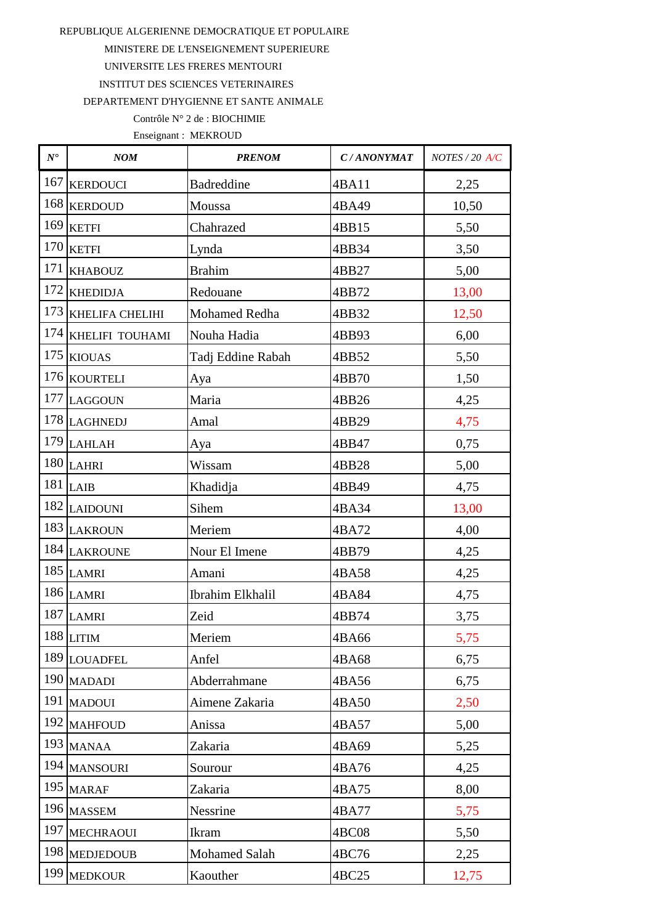MINISTERE DE L'ENSEIGNEMENT SUPERIEURE

UNIVERSITE LES FRERES MENTOURI

INSTITUT DES SCIENCES VETERINAIRES

DEPARTEMENT D'HYGIENNE ET SANTE ANIMALE

## Contrôle N° 2 de : BIOCHIMIE

| $N^\bullet$ | NOM                 | <b>PRENOM</b>     | C/ANONYMAT | NOTES / 20 A/C |
|-------------|---------------------|-------------------|------------|----------------|
| 167         | <b>KERDOUCI</b>     | <b>Badreddine</b> | 4BA11      | 2,25           |
| 168         | <b>KERDOUD</b>      | Moussa            | 4BA49      | 10,50          |
|             | $169$ KETFI         | Chahrazed         | 4BB15      | 5,50           |
| 170         | <b>KETFI</b>        | Lynda             | 4BB34      | 3,50           |
| 171         | <b>KHABOUZ</b>      | <b>Brahim</b>     | 4BB27      | 5,00           |
| 172         | <b>KHEDIDJA</b>     | Redouane          | 4BB72      | 13,00          |
|             | 173 KHELIFA CHELIHI | Mohamed Redha     | 4BB32      | 12,50          |
| 174         | KHELIFI TOUHAMI     | Nouha Hadia       | 4BB93      | 6,00           |
| 175         | <b>KIOUAS</b>       | Tadj Eddine Rabah | 4BB52      | 5,50           |
|             | 176 KOURTELI        | Aya               | 4BB70      | 1,50           |
| 177         | <b>LAGGOUN</b>      | Maria             | 4BB26      | 4,25           |
|             | 178 LAGHNEDJ        | Amal              | 4BB29      | 4,75           |
|             | 179 LAHLAH          | Aya               | 4BB47      | 0,75           |
|             | $180$ LAHRI         | Wissam            | 4BB28      | 5,00           |
|             | $181$ LAIB          | Khadidja          | 4BB49      | 4,75           |
|             | 182 LAIDOUNI        | Sihem             | 4BA34      | 13,00          |
|             | 183 LAKROUN         | Meriem            | 4BA72      | 4,00           |
|             | 184 LAKROUNE        | Nour El Imene     | 4BB79      | 4,25           |
|             | <b>185 LAMRI</b>    | Amani             | 4BA58      | 4,25           |
|             | $186$ LAMRI         | Ibrahim Elkhalil  | 4BA84      | 4,75           |
|             | $187\,$ LAMRI       | Zeid              | 4BB74      | 3,75           |
|             | $188$ LITIM         | Meriem            | 4BA66      | 5,75           |
| 189         | <b>LOUADFEL</b>     | Anfel             | 4BA68      | 6,75           |
| 190         | <b>MADADI</b>       | Abderrahmane      | 4BA56      | 6,75           |
| 191         | <b>MADOUI</b>       | Aimene Zakaria    | 4BA50      | 2,50           |
| 192         | <b>MAHFOUD</b>      | Anissa            | 4BA57      | 5,00           |
| 193         | <b>MANAA</b>        | Zakaria           | 4BA69      | 5,25           |
| 194         | <b>MANSOURI</b>     | Sourour           | 4BA76      | 4,25           |
| 195         | <b>MARAF</b>        | Zakaria           | 4BA75      | 8,00           |
| 196         | <b>MASSEM</b>       | Nessrine          | 4BA77      | 5,75           |
| 197         | <b>MECHRAOUI</b>    | Ikram             | 4BC08      | 5,50           |
| 198         | <b>MEDJEDOUB</b>    | Mohamed Salah     | 4BC76      | 2,25           |
| 199         | <b>MEDKOUR</b>      | Kaouther          | 4BC25      | 12,75          |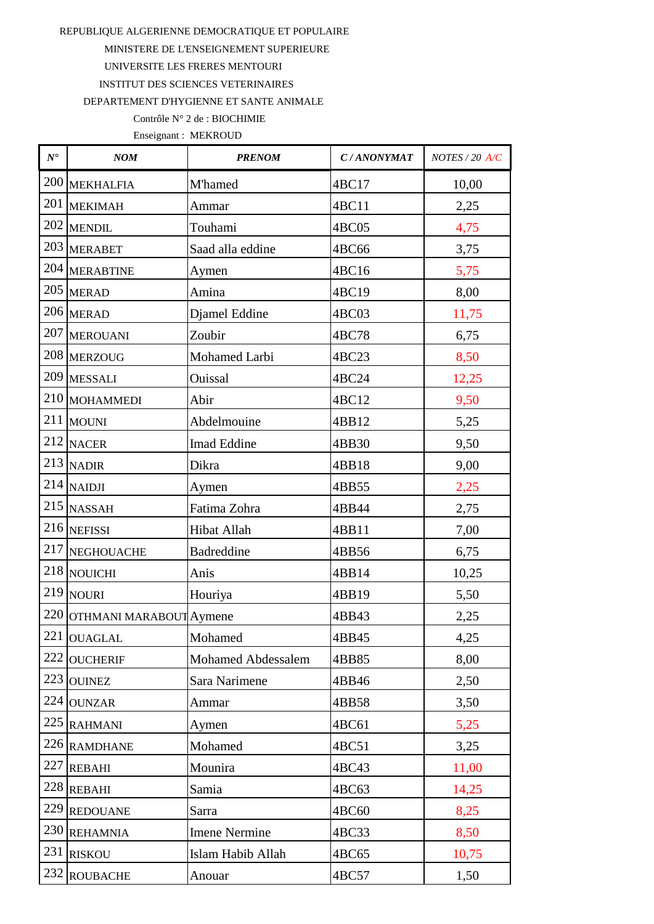MINISTERE DE L'ENSEIGNEMENT SUPERIEURE

UNIVERSITE LES FRERES MENTOURI

**INSTITUT DES SCIENCES VETERINAIRES** 

DEPARTEMENT D'HYGIENNE ET SANTE ANIMALE

## Contrôle N° 2 de : BIOCHIMIE

| $N^{\bullet}$ | NOM                         | <b>PRENOM</b>        | C/ANONYMAT | NOTES / 20 A/C |
|---------------|-----------------------------|----------------------|------------|----------------|
| 200           | <b>MEKHALFIA</b>            | M'hamed              | 4BC17      | 10,00          |
| 201           | <b>MEKIMAH</b>              | Ammar                | 4BC11      | 2,25           |
|               | 202 MENDIL                  | Touhami              | 4BC05      | 4,75           |
| 203           | <b>MERABET</b>              | Saad alla eddine     | 4BC66      | 3,75           |
|               | 204 MERABTINE               | Aymen                | 4BC16      | 5,75           |
|               | 205 MERAD                   | Amina                | 4BC19      | 8,00           |
|               | 206 MERAD                   | Djamel Eddine        | 4BC03      | 11,75          |
| 207           | <b>MEROUANI</b>             | Zoubir               | 4BC78      | 6,75           |
|               | 208 MERZOUG                 | Mohamed Larbi        | 4BC23      | 8,50           |
|               | 209 MESSALI                 | Ouissal              | 4BC24      | 12,25          |
| 210           | <b>MOHAMMEDI</b>            | Abir                 | 4BC12      | 9,50           |
| 211           | <b>MOUNI</b>                | Abdelmouine          | 4BB12      | 5,25           |
|               | 212 NACER                   | Imad Eddine          | 4BB30      | 9,50           |
|               | $213$ NADIR                 | Dikra                | 4BB18      | 9,00           |
|               | $214$ NAIDJI                | Aymen                | 4BB55      | 2,25           |
|               | 215 NASSAH                  | Fatima Zohra         | 4BB44      | 2,75           |
|               | 216 NEFISSI                 | Hibat Allah          | 4BB11      | 7,00           |
| 217           | NEGHOUACHE                  | <b>Badreddine</b>    | 4BB56      | 6,75           |
|               | 218 NOUICHI                 | Anis                 | 4BB14      | 10,25          |
|               | 219 NOURI                   | Houriya              | 4BB19      | 5,50           |
|               | 220 OTHMANI MARABOUT Aymene |                      | 4BB43      | 2,25           |
|               | 221 OUAGLAL                 | Mohamed              | 4BB45      | 4,25           |
| 222           | <b>OUCHERIF</b>             | Mohamed Abdessalem   | 4BB85      | 8,00           |
| 223           | <b>OUINEZ</b>               | Sara Narimene        | 4BB46      | 2,50           |
| 224           | <b>OUNZAR</b>               | Ammar                | 4BB58      | 3,50           |
| 225           | <b>RAHMANI</b>              | Aymen                | 4BC61      | 5,25           |
|               | 226 RAMDHANE                | Mohamed              | 4BC51      | 3,25           |
| 227           | <b>REBAHI</b>               | Mounira              | 4BC43      | 11,00          |
|               | 228 REBAHI                  | Samia                | 4BC63      | 14,25          |
| 229           | <b>REDOUANE</b>             | Sarra                | 4BC60      | 8,25           |
|               | 230 REHAMNIA                | <b>Imene Nermine</b> | 4BC33      | 8,50           |
| 231           | <b>RISKOU</b>               | Islam Habib Allah    | 4BC65      | 10,75          |
| 232           | <b>ROUBACHE</b>             | Anouar               | 4BC57      | 1,50           |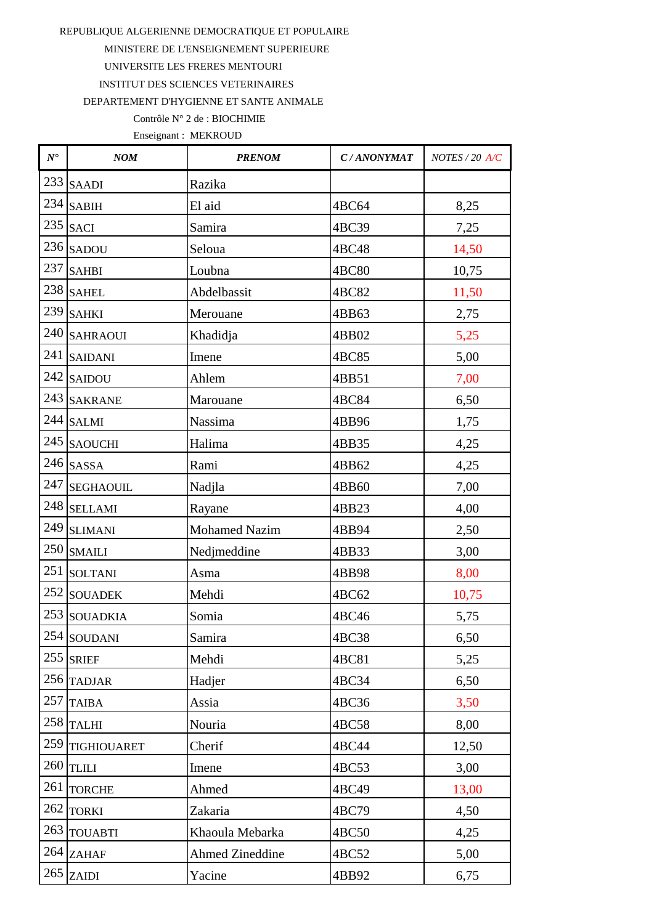MINISTERE DE L'ENSEIGNEMENT SUPERIEURE

UNIVERSITE LES FRERES MENTOURI

**INSTITUT DES SCIENCES VETERINAIRES** 

DEPARTEMENT D'HYGIENNE ET SANTE ANIMALE

### Contrôle N° 2 de : BIOCHIMIE

| $N^{\bullet}$ | NOM              | <b>PRENOM</b>          | C/ANONYMAT | NOTES / 20 A/C |
|---------------|------------------|------------------------|------------|----------------|
|               | $233$ SAADI      | Razika                 |            |                |
|               | $234$ SABIH      | El aid                 | 4BC64      | 8,25           |
|               | $235$ SACI       | Samira                 | 4BC39      | 7,25           |
|               | $236$ SADOU      | Seloua                 | 4BC48      | 14,50          |
| 237           | <b>SAHBI</b>     | Loubna                 | 4BC80      | 10,75          |
| 238           | <b>SAHEL</b>     | Abdelbassit            | 4BC82      | 11,50          |
|               | 239 SAHKI        | Merouane               | 4BB63      | 2,75           |
| 240           | <b>SAHRAOUI</b>  | Khadidja               | 4BB02      | 5,25           |
| 241           | <b>SAIDANI</b>   | Imene                  | 4BC85      | 5,00           |
| 242           | <b>SAIDOU</b>    | Ahlem                  | 4BB51      | 7,00           |
|               | 243 SAKRANE      | Marouane               | 4BC84      | 6,50           |
| 244           | <b>SALMI</b>     | Nassima                | 4BB96      | 1,75           |
| 245           | <b>SAOUCHI</b>   | Halima                 | 4BB35      | 4,25           |
| 246           | <b>SASSA</b>     | Rami                   | 4BB62      | 4,25           |
| 247           | <b>SEGHAOUIL</b> | Nadjla                 | 4BB60      | 7,00           |
| 248           | <b>SELLAMI</b>   | Rayane                 | 4BB23      | 4,00           |
| 249           | <b>SLIMANI</b>   | <b>Mohamed Nazim</b>   | 4BB94      | 2,50           |
|               | 250 SMAILI       | Nedjmeddine            | 4BB33      | 3,00           |
| 251           | <b>SOLTANI</b>   | Asma                   | 4BB98      | 8,00           |
| 252           | <b>SOUADEK</b>   | Mehdi                  | 4BC62      | 10,75          |
|               | 253 SOUADKIA     | Somia                  | 4BC46      | 5,75           |
|               | 254 SOUDANI      | Samira                 | 4BC38      | 6,50           |
| 255           | <b>SRIEF</b>     | Mehdi                  | 4BC81      | 5,25           |
| 256           | <b>TADJAR</b>    | Hadjer                 | 4BC34      | 6,50           |
| 257           | <b>TAIBA</b>     | Assia                  | 4BC36      | 3,50           |
| 258           | <b>TALHI</b>     | Nouria                 | 4BC58      | 8,00           |
| 259           | TIGHIOUARET      | Cherif                 | 4BC44      | 12,50          |
| 260           | <b>TLILI</b>     | Imene                  | 4BC53      | 3,00           |
| 261           | <b>TORCHE</b>    | Ahmed                  | 4BC49      | 13,00          |
| 262           | <b>TORKI</b>     | Zakaria                | 4BC79      | 4,50           |
| 263           | <b>TOUABTI</b>   | Khaoula Mebarka        | 4BC50      | 4,25           |
| 264           | <b>ZAHAF</b>     | <b>Ahmed Zineddine</b> | 4BC52      | 5,00           |
| 265           | <b>ZAIDI</b>     | Yacine                 | 4BB92      | 6,75           |